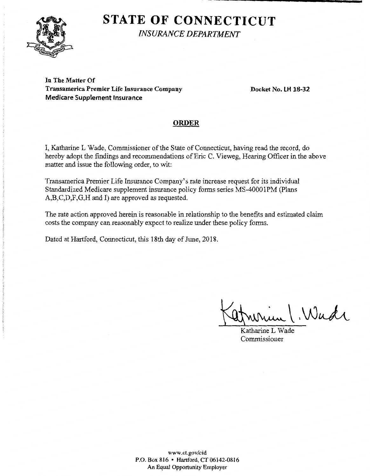

# **STATE OF CONNECTICUT**  *INSURANCE DEPARTMENT*

**In The Matter Of**  Transamerica Premier Life Insurance Company **Docket No. LH 18-32 Medicare Supplement Insurance** 

## **ORDER**

I, Katharine L Wade, Commissioner of the State of Connecticut, having read the record, do hereby adopt the findings and recommendations of Eric C. Vieweg, Hearing Officer in the above matter and issue the following order, to wit:

Transamerica Premier Life Insurance Company's rate increase request for its individual Standardized Medicare supplement insurance policy forms series MS-40001PM (Plans A,B,C,D,F,G,H and I) are approved as requested.

The rate action approved herein is reasonable in relationship to the benefits and estimated claim costs the company can reasonably expect to realize under these policy forms.

Dated at Hartford, Connecticut, this 18th day of June, 2018.

 $~\wedge~$ Wudr

Katharine L Wade Commissioner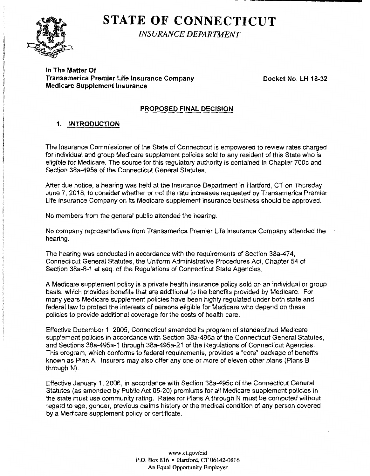

**STATE OF CONNECTICUT** 

*INSURANCE DEPARTMENT* 

**In The Matter Of Transamerica Premier Life Insurance Company Transamerica Premier Life Insurance Company Company Report No. LH 18-32 Medicare Supplement Insurance** 

#### **PROPOSED FINAL DECISION**

## **1. INTRODUCTION**

The Insurance Commissioner of the State of Connecticut is empowered to review rates charged for individual and group Medicare supplement policies sold to any resident of this State who is eligible for Medicare. The source for this regulatory authority is contained in Chapter 700c and Section 38a-495a of the Connecticut General Statutes.

After due notice, a hearing was held at the Insurance Department in Hartford, CT on Thursday June 7, 2018, to consider whether or not the rate increases requested by Transamerica Premier Life Insurance Company on its Medicare supplement insurance business should be approved.

No members from the general public attended the hearing.

No company representatives from Transamerica Premier Life Insurance Company attended the hearing.

The hearing was conducted in accordance with the requirements of Section 38a-474, Connecticut General Statutes, the Uniform Administrative Procedures Act, Chapter 54 of Section 38a-8-1 et seq. of the Regulations of Connecticut State Agencies.

A Medicare supplement policy is a private health insurance policy sold on an individual or group basis, which provides benefits that are additional to the benefits provided by Medicare. For many years Medicare supplement policies have been highly regulated under both state and federal law to protect the interests of persons eligible for Medicare who depend on these policies to provide additional coverage for the costs of health care.

Effective December 1, 2005, Connecticut amended its program of standardized Medicare supplement policies in accordance with Section 38a-496a of the Connecticut General Statutes, and Sections 38a-495a-1 through 38a-495a-21 of the Regulations of Connecticut Agencies. This program, which conforms to federal requirements, provides a "core" package of benefits known as Plan A. Insurers may also offer any one or more of eleven other plans (Plans B through N).

Effective January 1, 2006, in accordance with Section 38a-495c of the Connecticut General Statutes (as amended by Public Act 05-20) premiums for all Medicare supplement policies in the state must use community rating. Rates for Plans A through N must be computed without regard to age, gender, previous claims history or the medical condition of any person covered by a Medicare supplement policy or certificate.

> www.ct.gov/cid P.O. Box 816 • Hartford, CT 06142-0816 An Equal Opportunity Employer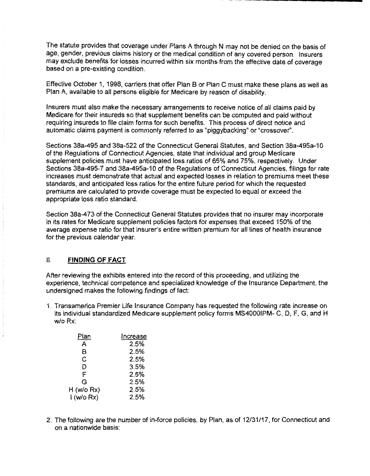The statute provides that coverage under Plans A through N may not be denied on the basis of age, gender, previous claims history or the medical condition of any covered person. Insurers may exclude benefits for losses incurred within six months from the effective date of coverage based on a pre-existing condition.

Effective October 1, 1998, carriers that offer Plan B or Plan C must make these plans as well as Plan A, available to all persons eligible for Medicare by reason of disability.

Insurers must also make the necessary arrangements to receive notice of all claims paid by Medicare for their insureds so that supplement benefits can be computed and paid without requiring insureds to file claim forms for such benefits. This process of direct notice and automatic claims payment is commonly referred to as "piggybacking" or "crossover".

Sections 38a-495 and 38a-522 of the Connecticut General Statutes, and Section 38a-495a-10 of the Regulations of Connecticut Agencies, state that individual and group Medicare supplement policies must have anticipated loss ratios of 65% and 75%, respectively. Under Sections 38a-495-7 and 38a-495a-10 of the Regulations of Connecticut Agencies, filings for rate increases must demonstrate that actual and expected losses in relation to premiums meet these standards, and anticipated loss ratios for the entire future period for which the requested premiums are calculated to provide coverage must be expected to equal or exceed the appropriate loss ratio standard.

Section 38a-473 of the Connecticut General Statutes provides that no insurer may incorporate in its rates for Medicare supplement policies factors for expenses that exceed 150% of the average expense ratio for that insurer's entire written premium for all lines of health insurance for the previous calendar year.

### II. **FINDING OF FACT**

After reviewing the exhibits entered into the record of this proceeding, and utilizing the experience, technical competence and specialized knowledge of the Insurance Department, the undersigned makes the following findings of fact:

1. Transamerica Premier Life Insurance Company has requested the following rate increase on its individual standardized Medicare supplement policy forms MS40001PM- C, D, F, G, and H w/o Rx:

| Increase |
|----------|
| 2.5%     |
| 2.5%     |
| 2.5%     |
| 3.5%     |
| 2.5%     |
| 2.5%     |
| 2.5%     |
| 2.5%     |
|          |

2. The following are the number of in-force policies, by Plan, as of 12/31/17, for Connecticut and on a nationwide basis: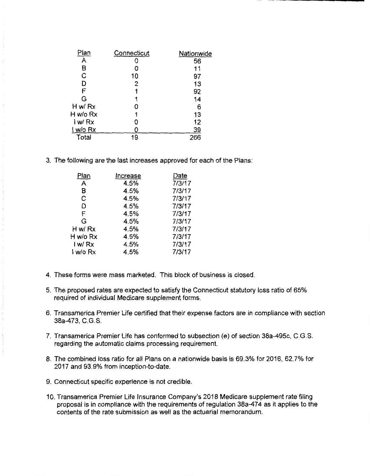| Plan     | Connecticut | Nationwide |
|----------|-------------|------------|
| A        |             | 56         |
| в        |             | 11         |
| C        | 10          | 97         |
| D        | 2           | 13         |
| F        |             | 92         |
| G        |             | 14         |
| H w/ Rx  |             | 6          |
| H w/o Rx | 1           | 13         |
| l w/ Rx  |             | 12         |
| i w/o Rx |             | 39         |
| Total    | 19          | 266        |

3. The following are the last increases approved for each of the Plans:

| Plan     | Increase | Date   |
|----------|----------|--------|
| A        | 4.5%     | 7/3/17 |
| в        | 4.5%     | 7/3/17 |
| С        | 4.5%     | 7/3/17 |
| D        | 4.5%     | 7/3/17 |
| F        | 4.5%     | 7/3/17 |
| G        | 4.5%     | 7/3/17 |
| H w/ Rx  | 4.5%     | 7/3/17 |
| H w/o Rx | 4.5%     | 7/3/17 |
| I w/ Rx  | 4.5%     | 7/3/17 |
| I w/o Rx | 4.5%     | 7/3/17 |
|          |          |        |

- 4. These forms were mass marketed. This block of business is closed.
- 5. The proposed rates are expected to satisfy the Connecticut statutory loss ratio of 65% required of individual Medicare supplement forms.
- 6. Transamerica Premier Life certified that their expense factors are in compliance with section 38a-473, C.G.S.
- 7. Transamerica Premier Life has conformed to subsection (e) of section 38a-495c, C.G.S. regarding the automatic claims processing requirement.
- 8. The combined loss ratio for all Plans on a nationwide basis is 69.3% for 2016, 62.7% for 2017 and 93.9% from inception-to-date.
- 9. Connecticut specific experience is not credible.
- 10. Transamerica Premier Life Insurance Company's 2018 Medicare supplement rate filing proposal is in compliance with the requirements of regulation 38a-474 as it applies to the contents of the rate submission as well as the actuarial memorandum.